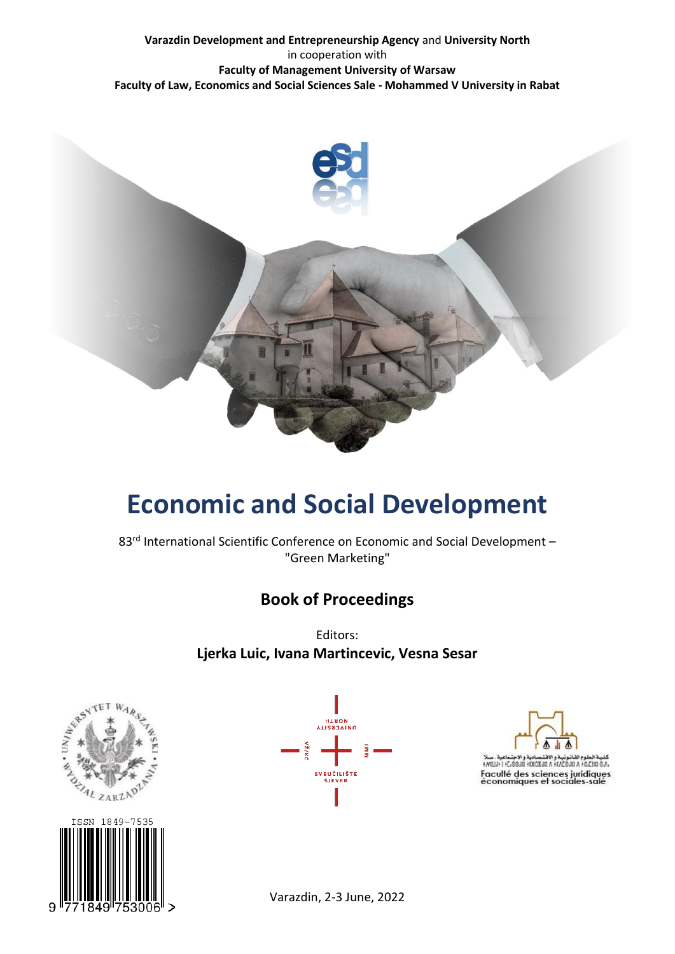#### **Varazdin Development and Entrepreneurship Agency** and **University North** in cooperation with **Faculty of Management University of Warsaw Faculty of Law, Economics and Social Sciences Sale - Mohammed V University in Rabat**



# **Economic and Social Development**

83<sup>rd</sup> International Scientific Conference on Economic and Social Development – "Green Marketing"

# **Book of Proceedings**

Editors: **Ljerka Luic, Ivana Martincevic, Vesna Sesar**







Varazdin, 2-3 June, 2022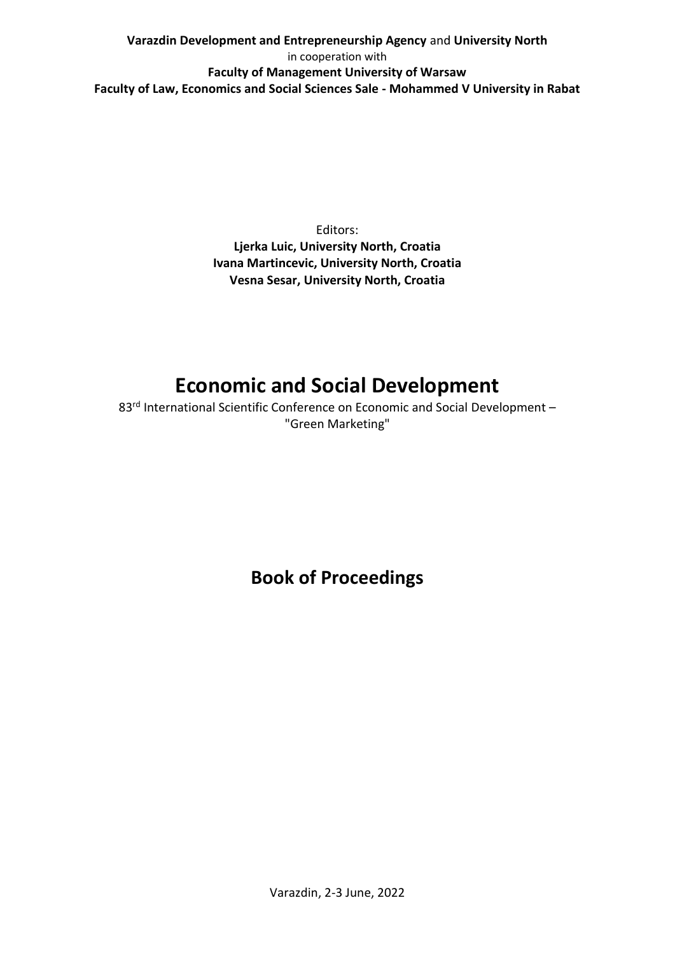## **Varazdin Development and Entrepreneurship Agency** and **University North** in cooperation with **Faculty of Management University of Warsaw Faculty of Law, Economics and Social Sciences Sale - Mohammed V University in Rabat**

Editors: **Ljerka Luic, University North, Croatia Ivana Martincevic, University North, Croatia Vesna Sesar, University North, Croatia**

# **Economic and Social Development**

83<sup>rd</sup> International Scientific Conference on Economic and Social Development – "Green Marketing"

**Book of Proceedings**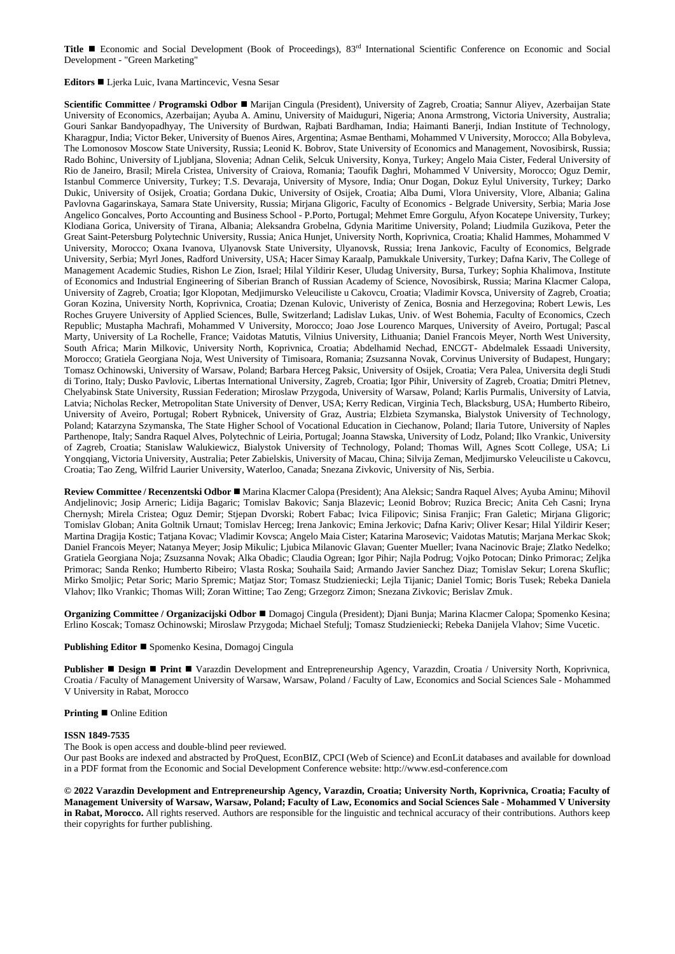**Title ■** Economic and Social Development (Book of Proceedings), 83<sup>rd</sup> International Scientific Conference on Economic and Social Development - "Green Marketing"

**Editors** ◼ Ljerka Luic, Ivana Martincevic, Vesna Sesar

**Scientific Committee / Programski Odbor** ◼ Marijan Cingula (President), University of Zagreb, Croatia; Sannur Aliyev, Azerbaijan State University of Economics, Azerbaijan; Ayuba A. Aminu, University of Maiduguri, Nigeria; Anona Armstrong, Victoria University, Australia; Gouri Sankar Bandyopadhyay, The University of Burdwan, Rajbati Bardhaman, India; Haimanti Banerji, Indian Institute of Technology, Kharagpur, India; Victor Beker, University of Buenos Aires, Argentina; Asmae Benthami, Mohammed V University, Morocco; Alla Bobyleva, The Lomonosov Moscow State University, Russia; Leonid K. Bobrov, State University of Economics and Management, Novosibirsk, Russia; Rado Bohinc, University of Ljubljana, Slovenia; Adnan Celik, Selcuk University, Konya, Turkey; Angelo Maia Cister, Federal University of Rio de Janeiro, Brasil; Mirela Cristea, University of Craiova, Romania; Taoufik Daghri, Mohammed V University, Morocco; Oguz Demir, Istanbul Commerce University, Turkey; T.S. Devaraja, University of Mysore, India; Onur Dogan, Dokuz Eylul University, Turkey; Darko Dukic, University of Osijek, Croatia; Gordana Dukic, University of Osijek, Croatia; Alba Dumi, Vlora University, Vlore, Albania; Galina Pavlovna Gagarinskaya, Samara State University, Russia; Mirjana Gligoric, Faculty of Economics - Belgrade University, Serbia; Maria Jose Angelico Goncalves, Porto Accounting and Business School - P.Porto, Portugal; Mehmet Emre Gorgulu, Afyon Kocatepe University, Turkey; Klodiana Gorica, University of Tirana, Albania; Aleksandra Grobelna, Gdynia Maritime University, Poland; Liudmila Guzikova, Peter the Great Saint-Petersburg Polytechnic University, Russia; Anica Hunjet, University North, Koprivnica, Croatia; Khalid Hammes, Mohammed V University, Morocco; Oxana Ivanova, Ulyanovsk State University, Ulyanovsk, Russia; Irena Jankovic, Faculty of Economics, Belgrade University, Serbia; Myrl Jones, Radford University, USA; Hacer Simay Karaalp, Pamukkale University, Turkey; Dafna Kariv, The College of Management Academic Studies, Rishon Le Zion, Israel; Hilal Yildirir Keser, Uludag University, Bursa, Turkey; Sophia Khalimova, Institute of Economics and Industrial Engineering of Siberian Branch of Russian Academy of Science, Novosibirsk, Russia; Marina Klacmer Calopa, University of Zagreb, Croatia; Igor Klopotan, Medjimursko Veleuciliste u Cakovcu, Croatia; Vladimir Kovsca, University of Zagreb, Croatia; Goran Kozina, University North, Koprivnica, Croatia; Dzenan Kulovic, Univeristy of Zenica, Bosnia and Herzegovina; Robert Lewis, Les Roches Gruyere University of Applied Sciences, Bulle, Switzerland; Ladislav Lukas, Univ. of West Bohemia, Faculty of Economics, Czech Republic; Mustapha Machrafi, Mohammed V University, Morocco; Joao Jose Lourenco Marques, University of Aveiro, Portugal; Pascal Marty, University of La Rochelle, France; Vaidotas Matutis, Vilnius University, Lithuania; Daniel Francois Meyer, North West University, South Africa; Marin Milkovic, University North, Koprivnica, Croatia; Abdelhamid Nechad, ENCGT- Abdelmalek Essaadi University, Morocco; Gratiela Georgiana Noja, West University of Timisoara, Romania; Zsuzsanna Novak, Corvinus University of Budapest, Hungary; Tomasz Ochinowski, University of Warsaw, Poland; Barbara Herceg Paksic, University of Osijek, Croatia; Vera Palea, Universita degli Studi di Torino, Italy; Dusko Pavlovic, Libertas International University, Zagreb, Croatia; Igor Pihir, University of Zagreb, Croatia; Dmitri Pletnev, Chelyabinsk State University, Russian Federation; Miroslaw Przygoda, University of Warsaw, Poland; Karlis Purmalis, University of Latvia, Latvia; Nicholas Recker, Metropolitan State University of Denver, USA; Kerry Redican, Virginia Tech, Blacksburg, USA; Humberto Ribeiro, University of Aveiro, Portugal; Robert Rybnicek, University of Graz, Austria; Elzbieta Szymanska, Bialystok University of Technology, Poland; Katarzyna Szymanska, The State Higher School of Vocational Education in Ciechanow, Poland; Ilaria Tutore, University of Naples Parthenope, Italy; Sandra Raquel Alves, Polytechnic of Leiria, Portugal; Joanna Stawska, University of Lodz, Poland; Ilko Vrankic, University of Zagreb, Croatia; Stanislaw Walukiewicz, Bialystok University of Technology, Poland; Thomas Will, Agnes Scott College, USA; Li Yongqiang, Victoria University, Australia; Peter Zabielskis, University of Macau, China; Silvija Zeman, Medjimursko Veleuciliste u Cakovcu, Croatia; Tao Zeng, Wilfrid Laurier University, Waterloo, Canada; Snezana Zivkovic, University of Nis, Serbia.

**Review Committee / Recenzentski Odbor** ◼ Marina Klacmer Calopa (President); Ana Aleksic; Sandra Raquel Alves; Ayuba Aminu; Mihovil Andjelinovic; Josip Arneric; Lidija Bagaric; Tomislav Bakovic; Sanja Blazevic; Leonid Bobrov; Ruzica Brecic; Anita Ceh Casni; Iryna Chernysh; Mirela Cristea; Oguz Demir; Stjepan Dvorski; Robert Fabac; Ivica Filipovic; Sinisa Franjic; Fran Galetic; Mirjana Gligoric; Tomislav Globan; Anita Goltnik Urnaut; Tomislav Herceg; Irena Jankovic; Emina Jerkovic; Dafna Kariv; Oliver Kesar; Hilal Yildirir Keser; Martina Dragija Kostic; Tatjana Kovac; Vladimir Kovsca; Angelo Maia Cister; Katarina Marosevic; Vaidotas Matutis; Marjana Merkac Skok; Daniel Francois Meyer; Natanya Meyer; Josip Mikulic; Ljubica Milanovic Glavan; Guenter Mueller; Ivana Nacinovic Braje; Zlatko Nedelko; Gratiela Georgiana Noja; Zsuzsanna Novak; Alka Obadic; Claudia Ogrean; Igor Pihir; Najla Podrug; Vojko Potocan; Dinko Primorac; Zeljka Primorac; Sanda Renko; Humberto Ribeiro; Vlasta Roska; Souhaila Said; Armando Javier Sanchez Diaz; Tomislav Sekur; Lorena Skuflic; Mirko Smoljic; Petar Soric; Mario Spremic; Matjaz Stor; Tomasz Studzieniecki; Lejla Tijanic; Daniel Tomic; Boris Tusek; Rebeka Daniela Vlahov; Ilko Vrankic; Thomas Will; Zoran Wittine; Tao Zeng; Grzegorz Zimon; Snezana Zivkovic; Berislav Zmuk.

**Organizing Committee / Organizacijski Odbor** ◼ Domagoj Cingula (President); Djani Bunja; Marina Klacmer Calopa; Spomenko Kesina; Erlino Koscak; Tomasz Ochinowski; Miroslaw Przygoda; Michael Stefulj; Tomasz Studzieniecki; Rebeka Danijela Vlahov; Sime Vucetic.

**Publishing Editor** ◼ Spomenko Kesina, Domagoj Cingula

**Publisher** ◼ **Design** ◼ **Print** ◼ Varazdin Development and Entrepreneurship Agency, Varazdin, Croatia / University North, Koprivnica, Croatia / Faculty of Management University of Warsaw, Warsaw, Poland / Faculty of Law, Economics and Social Sciences Sale - Mohammed V University in Rabat, Morocco

#### **Printing** ■ Online Edition

#### **ISSN 1849-7535**

The Book is open access and double-blind peer reviewed.

Our past Books are indexed and abstracted by ProQuest, EconBIZ, CPCI (Web of Science) and EconLit databases and available for download in a PDF format from the Economic and Social Development Conference website: http://www.esd-conference.com

**© 2022 Varazdin Development and Entrepreneurship Agency, Varazdin, Croatia; University North, Koprivnica, Croatia; Faculty of Management University of Warsaw, Warsaw, Poland; Faculty of Law, Economics and Social Sciences Sale - Mohammed V University in Rabat, Morocco.** All rights reserved. Authors are responsible for the linguistic and technical accuracy of their contributions. Authors keep their copyrights for further publishing.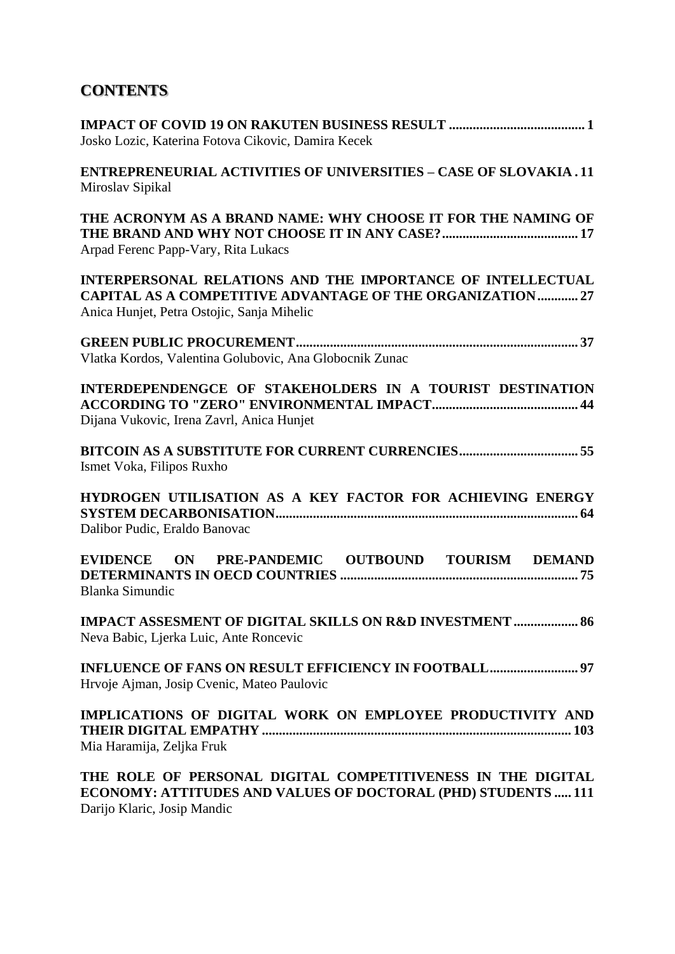# **CONTENTS**

| Josko Lozic, Katerina Fotova Cikovic, Damira Kecek                                                                                                                           |
|------------------------------------------------------------------------------------------------------------------------------------------------------------------------------|
| <b>ENTREPRENEURIAL ACTIVITIES OF UNIVERSITIES - CASE OF SLOVAKIA.11</b><br>Miroslav Sipikal                                                                                  |
| THE ACRONYM AS A BRAND NAME: WHY CHOOSE IT FOR THE NAMING OF<br>Arpad Ferenc Papp-Vary, Rita Lukacs                                                                          |
| INTERPERSONAL RELATIONS AND THE IMPORTANCE OF INTELLECTUAL<br><b>CAPITAL AS A COMPETITIVE ADVANTAGE OF THE ORGANIZATION 27</b><br>Anica Hunjet, Petra Ostojic, Sanja Mihelic |
| Vlatka Kordos, Valentina Golubovic, Ana Globocnik Zunac                                                                                                                      |
| INTERDEPENDENGCE OF STAKEHOLDERS IN A TOURIST DESTINATION<br>Dijana Vukovic, Irena Zavrl, Anica Hunjet                                                                       |
| Ismet Voka, Filipos Ruxho                                                                                                                                                    |
| HYDROGEN UTILISATION AS A KEY FACTOR FOR ACHIEVING ENERGY<br>Dalibor Pudic, Eraldo Banovac                                                                                   |
| EVIDENCE ON PRE-PANDEMIC OUTBOUND TOURISM DEMAND<br><b>Blanka Simundic</b>                                                                                                   |
| <b>IMPACT ASSESMENT OF DIGITAL SKILLS ON R&amp;D INVESTMENT  86</b><br>Neva Babic, Ljerka Luic, Ante Roncevic                                                                |
| Hrvoje Ajman, Josip Cvenic, Mateo Paulovic                                                                                                                                   |
| IMPLICATIONS OF DIGITAL WORK ON EMPLOYEE PRODUCTIVITY AND<br>Mia Haramija, Zeljka Fruk                                                                                       |
| THE ROLE OF PERSONAL DIGITAL COMPETITIVENESS IN THE DIGITAL                                                                                                                  |

**ECONOMY: ATTITUDES AND VALUES OF DOCTORAL (PHD) STUDENTS ..... 111** Darijo Klaric, Josip Mandic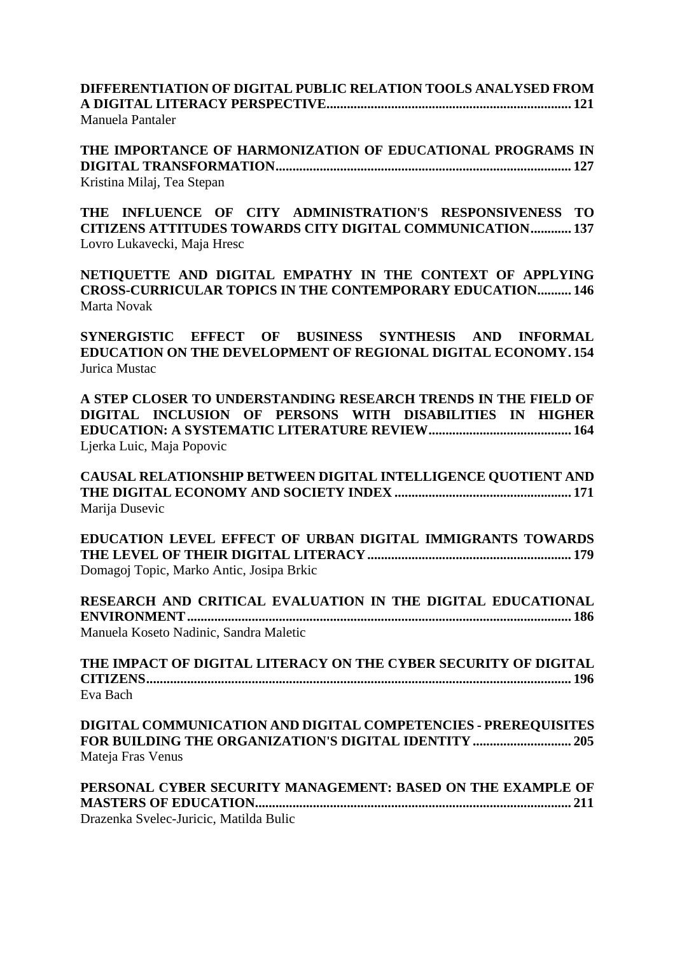**DIFFERENTIATION OF DIGITAL PUBLIC RELATION TOOLS ANALYSED FROM A DIGITAL LITERACY PERSPECTIVE........................................................................ 121** Manuela Pantaler

**THE IMPORTANCE OF HARMONIZATION OF EDUCATIONAL PROGRAMS IN DIGITAL TRANSFORMATION....................................................................................... 127** Kristina Milaj, Tea Stepan

**THE INFLUENCE OF CITY ADMINISTRATION'S RESPONSIVENESS TO CITIZENS ATTITUDES TOWARDS CITY DIGITAL COMMUNICATION............ 137** Lovro Lukavecki, Maja Hresc

**NETIQUETTE AND DIGITAL EMPATHY IN THE CONTEXT OF APPLYING CROSS-CURRICULAR TOPICS IN THE CONTEMPORARY EDUCATION.......... 146** Marta Novak

**SYNERGISTIC EFFECT OF BUSINESS SYNTHESIS AND INFORMAL EDUCATION ON THE DEVELOPMENT OF REGIONAL DIGITAL ECONOMY. 154** Jurica Mustac

**A STEP CLOSER TO UNDERSTANDING RESEARCH TRENDS IN THE FIELD OF DIGITAL INCLUSION OF PERSONS WITH DISABILITIES IN HIGHER EDUCATION: A SYSTEMATIC LITERATURE REVIEW.......................................... 164** Ljerka Luic, Maja Popovic

**CAUSAL RELATIONSHIP BETWEEN DIGITAL INTELLIGENCE QUOTIENT AND THE DIGITAL ECONOMY AND SOCIETY INDEX .................................................... 171** Marija Dusevic

**EDUCATION LEVEL EFFECT OF URBAN DIGITAL IMMIGRANTS TOWARDS THE LEVEL OF THEIR DIGITAL LITERACY............................................................ 179** Domagoj Topic, Marko Antic, Josipa Brkic

| RESEARCH AND CRITICAL EVALUATION IN THE DIGITAL EDUCATIONAL |  |
|-------------------------------------------------------------|--|
|                                                             |  |
| Manuela Koseto Nadinic, Sandra Maletic                      |  |

| THE IMPACT OF DIGITAL LITERACY ON THE CYBER SECURITY OF DIGITAL |  |
|-----------------------------------------------------------------|--|
|                                                                 |  |
| Eva Bach                                                        |  |

**DIGITAL COMMUNICATION AND DIGITAL COMPETENCIES - PREREQUISITES FOR BUILDING THE ORGANIZATION'S DIGITAL IDENTITY............................. 205** Mateja Fras Venus

| PERSONAL CYBER SECURITY MANAGEMENT: BASED ON THE EXAMPLE OF |  |
|-------------------------------------------------------------|--|
|                                                             |  |
| Drazenka Svelec-Juricic, Matilda Bulic                      |  |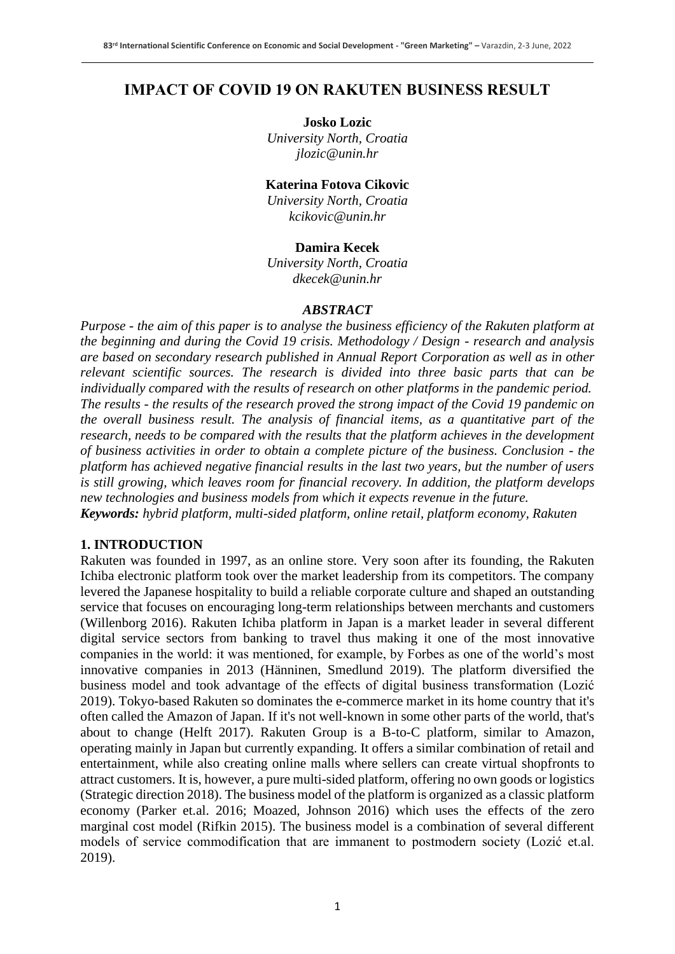## **IMPACT OF COVID 19 ON RAKUTEN BUSINESS RESULT**

**Josko Lozic** *University North, Croatia jlozic@unin.hr*

#### **Katerina Fotova Cikovic**

*University North, Croatia kcikovic@unin.hr*

#### **Damira Kecek**

*University North, Croatia dkecek@unin.hr*

#### *ABSTRACT*

*Purpose - the aim of this paper is to analyse the business efficiency of the Rakuten platform at the beginning and during the Covid 19 crisis. Methodology / Design - research and analysis are based on secondary research published in Annual Report Corporation as well as in other relevant scientific sources. The research is divided into three basic parts that can be individually compared with the results of research on other platforms in the pandemic period. The results - the results of the research proved the strong impact of the Covid 19 pandemic on the overall business result. The analysis of financial items, as a quantitative part of the research, needs to be compared with the results that the platform achieves in the development of business activities in order to obtain a complete picture of the business. Conclusion - the platform has achieved negative financial results in the last two years, but the number of users is still growing, which leaves room for financial recovery. In addition, the platform develops new technologies and business models from which it expects revenue in the future. Keywords: hybrid platform, multi-sided platform, online retail, platform economy, Rakuten*

#### **1. INTRODUCTION**

Rakuten was founded in 1997, as an online store. Very soon after its founding, the Rakuten Ichiba electronic platform took over the market leadership from its competitors. The company levered the Japanese hospitality to build a reliable corporate culture and shaped an outstanding service that focuses on encouraging long-term relationships between merchants and customers (Willenborg 2016). Rakuten Ichiba platform in Japan is a market leader in several different digital service sectors from banking to travel thus making it one of the most innovative companies in the world: it was mentioned, for example, by Forbes as one of the world's most innovative companies in 2013 (Hänninen, Smedlund 2019). The platform diversified the business model and took advantage of the effects of digital business transformation (Lozić 2019). Tokyo-based Rakuten so dominates the e-commerce market in its home country that it's often called the Amazon of Japan. If it's not well-known in some other parts of the world, that's about to change (Helft 2017). Rakuten Group is a B-to-C platform, similar to Amazon, operating mainly in Japan but currently expanding. It offers a similar combination of retail and entertainment, while also creating online malls where sellers can create virtual shopfronts to attract customers. It is, however, a pure multi-sided platform, offering no own goods or logistics (Strategic direction 2018). The business model of the platform is organized as a classic platform economy (Parker et.al. 2016; Moazed, Johnson 2016) which uses the effects of the zero marginal cost model (Rifkin 2015). The business model is a combination of several different models of service commodification that are immanent to postmodern society (Lozić et.al. 2019).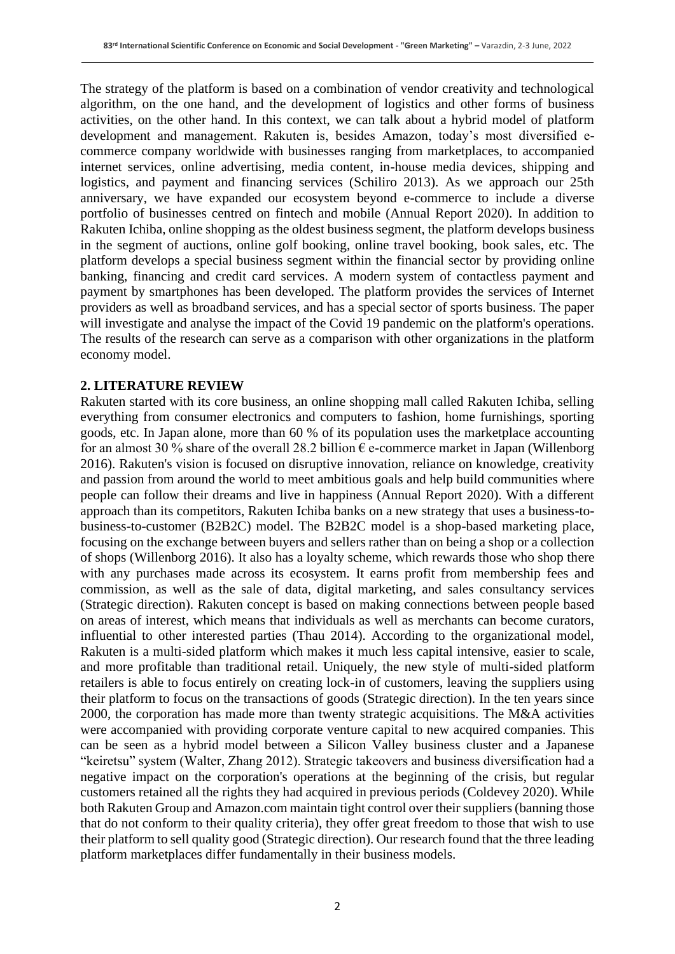The strategy of the platform is based on a combination of vendor creativity and technological algorithm, on the one hand, and the development of logistics and other forms of business activities, on the other hand. In this context, we can talk about a hybrid model of platform development and management. Rakuten is, besides Amazon, today's most diversified ecommerce company worldwide with businesses ranging from marketplaces, to accompanied internet services, online advertising, media content, in-house media devices, shipping and logistics, and payment and financing services (Schiliro 2013). As we approach our 25th anniversary, we have expanded our ecosystem beyond e-commerce to include a diverse portfolio of businesses centred on fintech and mobile (Annual Report 2020). In addition to Rakuten Ichiba, online shopping as the oldest business segment, the platform develops business in the segment of auctions, online golf booking, online travel booking, book sales, etc. The platform develops a special business segment within the financial sector by providing online banking, financing and credit card services. A modern system of contactless payment and payment by smartphones has been developed. The platform provides the services of Internet providers as well as broadband services, and has a special sector of sports business. The paper will investigate and analyse the impact of the Covid 19 pandemic on the platform's operations. The results of the research can serve as a comparison with other organizations in the platform economy model.

#### **2. LITERATURE REVIEW**

Rakuten started with its core business, an online shopping mall called Rakuten Ichiba, selling everything from consumer electronics and computers to fashion, home furnishings, sporting goods, etc. In Japan alone, more than 60 % of its population uses the marketplace accounting for an almost 30 % share of the overall 28.2 billion  $\epsilon$  e-commerce market in Japan (Willenborg 2016). Rakuten's vision is focused on disruptive innovation, reliance on knowledge, creativity and passion from around the world to meet ambitious goals and help build communities where people can follow their dreams and live in happiness (Annual Report 2020). With a different approach than its competitors, Rakuten Ichiba banks on a new strategy that uses a business-tobusiness-to-customer (B2B2C) model. The B2B2C model is a shop-based marketing place, focusing on the exchange between buyers and sellers rather than on being a shop or a collection of shops (Willenborg 2016). It also has a loyalty scheme, which rewards those who shop there with any purchases made across its ecosystem. It earns profit from membership fees and commission, as well as the sale of data, digital marketing, and sales consultancy services (Strategic direction). Rakuten concept is based on making connections between people based on areas of interest, which means that individuals as well as merchants can become curators, influential to other interested parties (Thau 2014). According to the organizational model, Rakuten is a multi-sided platform which makes it much less capital intensive, easier to scale, and more profitable than traditional retail. Uniquely, the new style of multi-sided platform retailers is able to focus entirely on creating lock-in of customers, leaving the suppliers using their platform to focus on the transactions of goods (Strategic direction). In the ten years since 2000, the corporation has made more than twenty strategic acquisitions. The M&A activities were accompanied with providing corporate venture capital to new acquired companies. This can be seen as a hybrid model between a Silicon Valley business cluster and a Japanese "keiretsu" system (Walter, Zhang 2012). Strategic takeovers and business diversification had a negative impact on the corporation's operations at the beginning of the crisis, but regular customers retained all the rights they had acquired in previous periods (Coldevey 2020). While both Rakuten Group and Amazon.com maintain tight control over their suppliers (banning those that do not conform to their quality criteria), they offer great freedom to those that wish to use their platform to sell quality good (Strategic direction). Our research found that the three leading platform marketplaces differ fundamentally in their business models.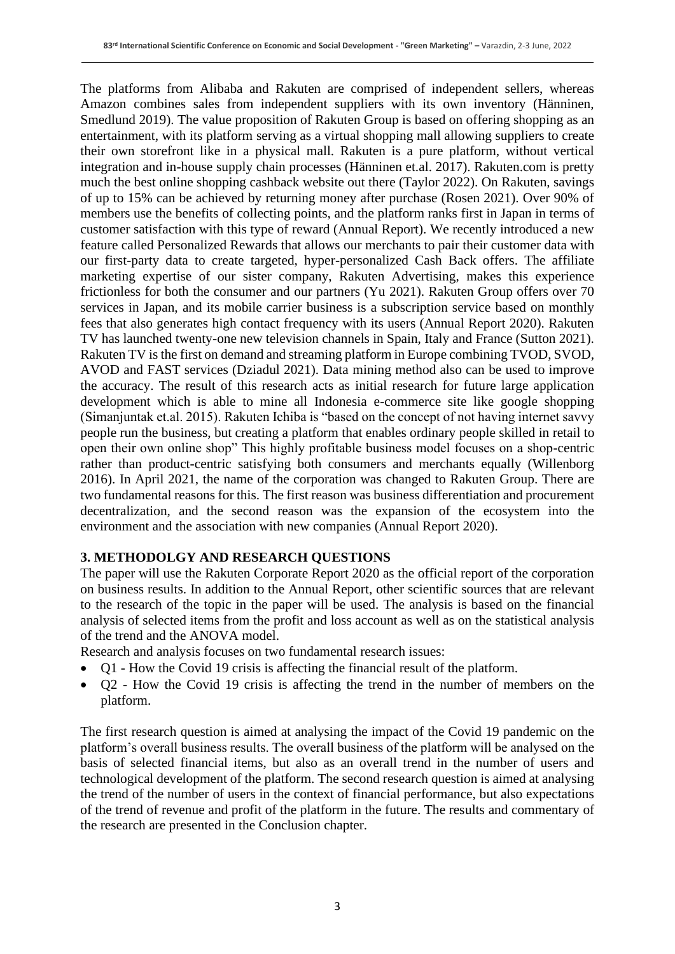The platforms from Alibaba and Rakuten are comprised of independent sellers, whereas Amazon combines sales from independent suppliers with its own inventory (Hänninen, Smedlund 2019). The value proposition of Rakuten Group is based on offering shopping as an entertainment, with its platform serving as a virtual shopping mall allowing suppliers to create their own storefront like in a physical mall. Rakuten is a pure platform, without vertical integration and in-house supply chain processes (Hänninen et.al. 2017). Rakuten.com is pretty much the best online shopping cashback website out there (Taylor 2022). On Rakuten, savings of up to 15% can be achieved by returning money after purchase (Rosen 2021). Over 90% of members use the benefits of collecting points, and the platform ranks first in Japan in terms of customer satisfaction with this type of reward (Annual Report). We recently introduced a new feature called Personalized Rewards that allows our merchants to pair their customer data with our first-party data to create targeted, hyper-personalized Cash Back offers. The affiliate marketing expertise of our sister company, Rakuten Advertising, makes this experience frictionless for both the consumer and our partners (Yu 2021). Rakuten Group offers over 70 services in Japan, and its mobile carrier business is a subscription service based on monthly fees that also generates high contact frequency with its users (Annual Report 2020). Rakuten TV has launched twenty-one new television channels in Spain, Italy and France (Sutton 2021). Rakuten TV is the first on demand and streaming platform in Europe combining TVOD, SVOD, AVOD and FAST services (Dziadul 2021). Data mining method also can be used to improve the accuracy. The result of this research acts as initial research for future large application development which is able to mine all Indonesia e-commerce site like google shopping (Simanjuntak et.al. 2015). Rakuten Ichiba is "based on the concept of not having internet savvy people run the business, but creating a platform that enables ordinary people skilled in retail to open their own online shop" This highly profitable business model focuses on a shop-centric rather than product-centric satisfying both consumers and merchants equally (Willenborg 2016). In April 2021, the name of the corporation was changed to Rakuten Group. There are two fundamental reasons for this. The first reason was business differentiation and procurement decentralization, and the second reason was the expansion of the ecosystem into the environment and the association with new companies (Annual Report 2020).

### **3. METHODOLGY AND RESEARCH QUESTIONS**

The paper will use the Rakuten Corporate Report 2020 as the official report of the corporation on business results. In addition to the Annual Report, other scientific sources that are relevant to the research of the topic in the paper will be used. The analysis is based on the financial analysis of selected items from the profit and loss account as well as on the statistical analysis of the trend and the ANOVA model.

Research and analysis focuses on two fundamental research issues:

- Q1 How the Covid 19 crisis is affecting the financial result of the platform.
- Q2 How the Covid 19 crisis is affecting the trend in the number of members on the platform.

The first research question is aimed at analysing the impact of the Covid 19 pandemic on the platform's overall business results. The overall business of the platform will be analysed on the basis of selected financial items, but also as an overall trend in the number of users and technological development of the platform. The second research question is aimed at analysing the trend of the number of users in the context of financial performance, but also expectations of the trend of revenue and profit of the platform in the future. The results and commentary of the research are presented in the Conclusion chapter.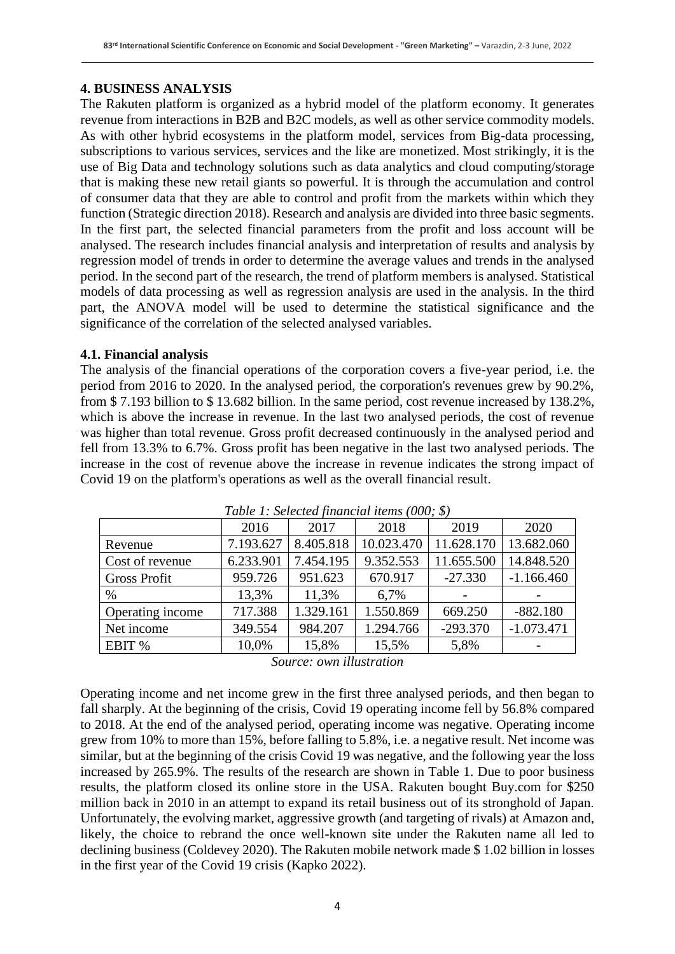### **4. BUSINESS ANALYSIS**

The Rakuten platform is organized as a hybrid model of the platform economy. It generates revenue from interactions in B2B and B2C models, as well as other service commodity models. As with other hybrid ecosystems in the platform model, services from Big-data processing, subscriptions to various services, services and the like are monetized. Most strikingly, it is the use of Big Data and technology solutions such as data analytics and cloud computing/storage that is making these new retail giants so powerful. It is through the accumulation and control of consumer data that they are able to control and profit from the markets within which they function (Strategic direction 2018). Research and analysis are divided into three basic segments. In the first part, the selected financial parameters from the profit and loss account will be analysed. The research includes financial analysis and interpretation of results and analysis by regression model of trends in order to determine the average values and trends in the analysed period. In the second part of the research, the trend of platform members is analysed. Statistical models of data processing as well as regression analysis are used in the analysis. In the third part, the ANOVA model will be used to determine the statistical significance and the significance of the correlation of the selected analysed variables.

#### **4.1. Financial analysis**

The analysis of the financial operations of the corporation covers a five-year period, i.e. the period from 2016 to 2020. In the analysed period, the corporation's revenues grew by 90.2%, from \$ 7.193 billion to \$ 13.682 billion. In the same period, cost revenue increased by 138.2%, which is above the increase in revenue. In the last two analysed periods, the cost of revenue was higher than total revenue. Gross profit decreased continuously in the analysed period and fell from 13.3% to 6.7%. Gross profit has been negative in the last two analysed periods. The increase in the cost of revenue above the increase in revenue indicates the strong impact of Covid 19 on the platform's operations as well as the overall financial result.

|                     | 2016      | 2017      | 2018       | 2019       | 2020         |
|---------------------|-----------|-----------|------------|------------|--------------|
| Revenue             | 7.193.627 | 8.405.818 | 10.023.470 | 11.628.170 | 13.682.060   |
| Cost of revenue     | 6.233.901 | 7.454.195 | 9.352.553  | 11.655.500 | 14.848.520   |
| <b>Gross Profit</b> | 959.726   | 951.623   | 670.917    | $-27.330$  | $-1.166.460$ |
| $\%$                | 13,3%     | 11,3%     | 6,7%       |            |              |
| Operating income    | 717.388   | 1.329.161 | 1.550.869  | 669.250    | $-882.180$   |
| Net income          | 349.554   | 984.207   | 1.294.766  | $-293.370$ | $-1.073.471$ |
| EBIT %              | 10,0%     | 15,8%     | 15,5%      | 5,8%       |              |
|                     |           |           |            |            |              |

*Table 1: Selected financial items (000; \$)*

*Source: own illustration*

Operating income and net income grew in the first three analysed periods, and then began to fall sharply. At the beginning of the crisis, Covid 19 operating income fell by 56.8% compared to 2018. At the end of the analysed period, operating income was negative. Operating income grew from 10% to more than 15%, before falling to 5.8%, i.e. a negative result. Net income was similar, but at the beginning of the crisis Covid 19 was negative, and the following year the loss increased by 265.9%. The results of the research are shown in Table 1. Due to poor business results, the platform closed its online store in the USA. Rakuten bought Buy.com for \$250 million back in 2010 in an attempt to expand its retail business out of its stronghold of Japan. Unfortunately, the evolving market, aggressive growth (and targeting of rivals) at Amazon and, likely, the choice to rebrand the once well-known site under the Rakuten name all led to declining business (Coldevey 2020). The Rakuten mobile network made \$ 1.02 billion in losses in the first year of the Covid 19 crisis (Kapko 2022).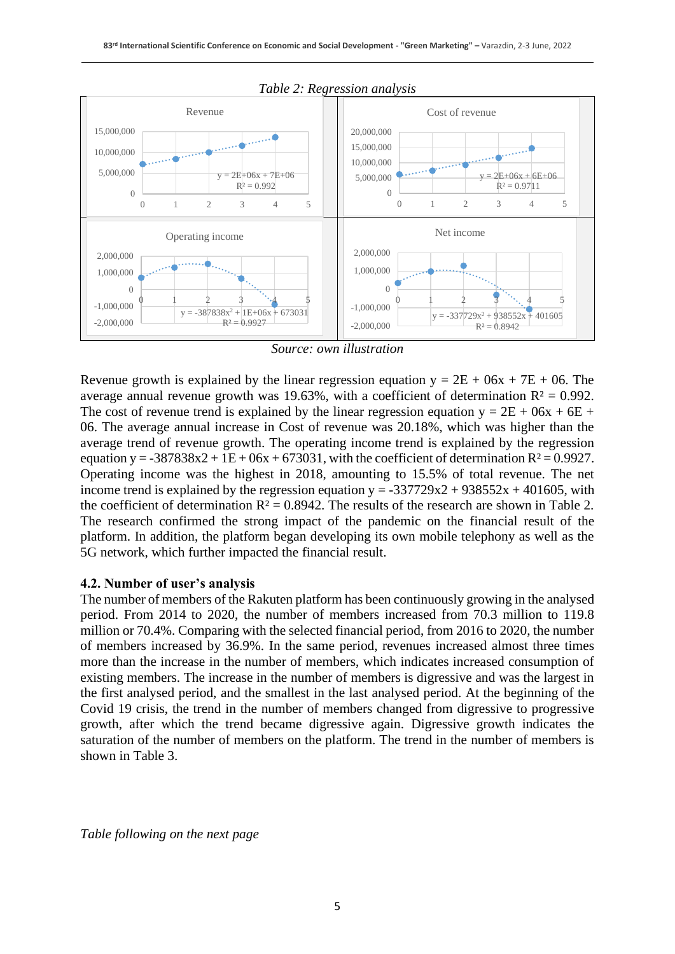

#### *Table 2: Regression analysis*

*Source: own illustration*

Revenue growth is explained by the linear regression equation  $y = 2E + 06x + 7E + 06$ . The average annual revenue growth was 19.63%, with a coefficient of determination  $R^2 = 0.992$ . The cost of revenue trend is explained by the linear regression equation  $y = 2E + 06x + 6E +$ 06. The average annual increase in Cost of revenue was 20.18%, which was higher than the average trend of revenue growth. The operating income trend is explained by the regression equation y =  $-387838x2 + 1E + 06x + 673031$ , with the coefficient of determination R<sup>2</sup> = 0.9927. Operating income was the highest in 2018, amounting to 15.5% of total revenue. The net income trend is explained by the regression equation  $y = -337729x^2 + 938552x + 401605$ , with the coefficient of determination  $R^2 = 0.8942$ . The results of the research are shown in Table 2. The research confirmed the strong impact of the pandemic on the financial result of the platform. In addition, the platform began developing its own mobile telephony as well as the 5G network, which further impacted the financial result.

#### **4.2. Number of user's analysis**

The number of members of the Rakuten platform has been continuously growing in the analysed period. From 2014 to 2020, the number of members increased from 70.3 million to 119.8 million or 70.4%. Comparing with the selected financial period, from 2016 to 2020, the number of members increased by 36.9%. In the same period, revenues increased almost three times more than the increase in the number of members, which indicates increased consumption of existing members. The increase in the number of members is digressive and was the largest in the first analysed period, and the smallest in the last analysed period. At the beginning of the Covid 19 crisis, the trend in the number of members changed from digressive to progressive growth, after which the trend became digressive again. Digressive growth indicates the saturation of the number of members on the platform. The trend in the number of members is shown in Table 3.

*Table following on the next page*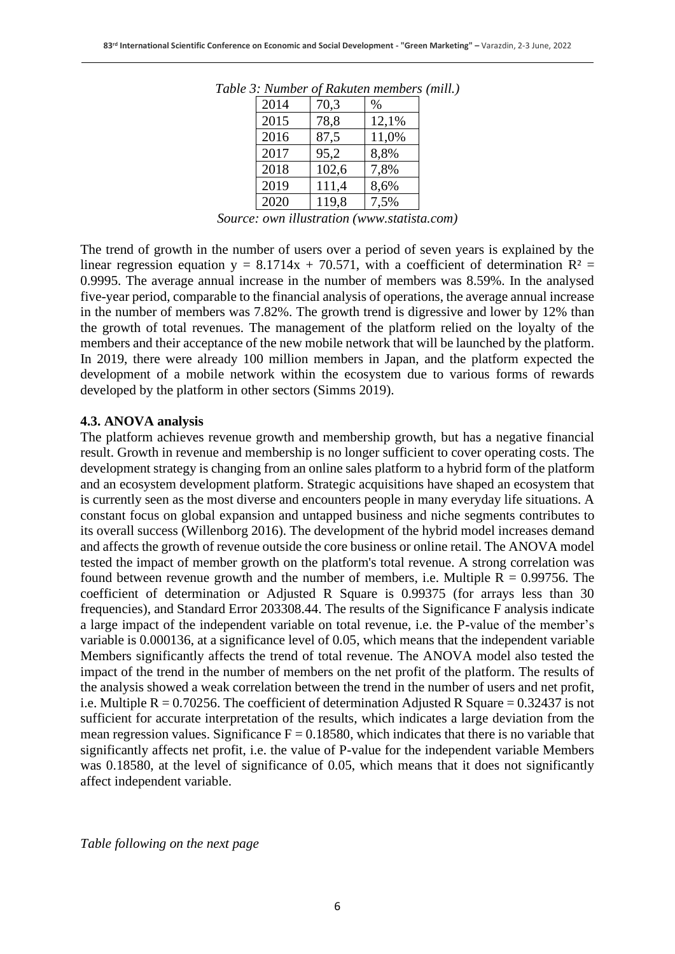| 2014 | 70,3  | %     |
|------|-------|-------|
| 2015 | 78,8  | 12,1% |
| 2016 | 87,5  | 11,0% |
| 2017 | 95,2  | 8,8%  |
| 2018 | 102,6 | 7,8%  |
| 2019 | 111,4 | 8,6%  |
| 2020 | 119,8 | 7,5%  |

*Table 3: Number of Rakuten members (mill.)*

*Source: own illustration (www.statista.com)*

The trend of growth in the number of users over a period of seven years is explained by the linear regression equation  $y = 8.1714x + 70.571$ , with a coefficient of determination  $R^2 =$ 0.9995. The average annual increase in the number of members was 8.59%. In the analysed five-year period, comparable to the financial analysis of operations, the average annual increase in the number of members was 7.82%. The growth trend is digressive and lower by 12% than the growth of total revenues. The management of the platform relied on the loyalty of the members and their acceptance of the new mobile network that will be launched by the platform. In 2019, there were already 100 million members in Japan, and the platform expected the development of a mobile network within the ecosystem due to various forms of rewards developed by the platform in other sectors (Simms 2019).

#### **4.3. ANOVA analysis**

The platform achieves revenue growth and membership growth, but has a negative financial result. Growth in revenue and membership is no longer sufficient to cover operating costs. The development strategy is changing from an online sales platform to a hybrid form of the platform and an ecosystem development platform. Strategic acquisitions have shaped an ecosystem that is currently seen as the most diverse and encounters people in many everyday life situations. A constant focus on global expansion and untapped business and niche segments contributes to its overall success (Willenborg 2016). The development of the hybrid model increases demand and affects the growth of revenue outside the core business or online retail. The ANOVA model tested the impact of member growth on the platform's total revenue. A strong correlation was found between revenue growth and the number of members, i.e. Multiple  $R = 0.99756$ . The coefficient of determination or Adjusted R Square is 0.99375 (for arrays less than 30 frequencies), and Standard Error 203308.44. The results of the Significance F analysis indicate a large impact of the independent variable on total revenue, i.e. the P-value of the member's variable is 0.000136, at a significance level of 0.05, which means that the independent variable Members significantly affects the trend of total revenue. The ANOVA model also tested the impact of the trend in the number of members on the net profit of the platform. The results of the analysis showed a weak correlation between the trend in the number of users and net profit, i.e. Multiple  $R = 0.70256$ . The coefficient of determination Adjusted R Square = 0.32437 is not sufficient for accurate interpretation of the results, which indicates a large deviation from the mean regression values. Significance  $F = 0.18580$ , which indicates that there is no variable that significantly affects net profit, i.e. the value of P-value for the independent variable Members was 0.18580, at the level of significance of 0.05, which means that it does not significantly affect independent variable.

*Table following on the next page*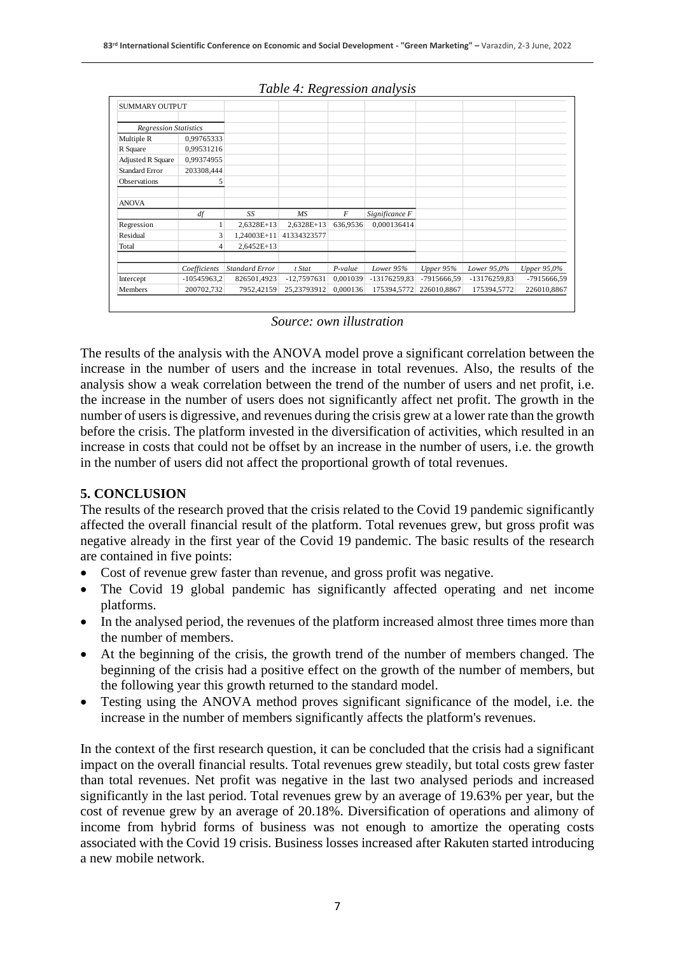| <b>SUMMARY OUTPUT</b>        |               |                       |              |           |                |             |              |                    |
|------------------------------|---------------|-----------------------|--------------|-----------|----------------|-------------|--------------|--------------------|
|                              |               |                       |              |           |                |             |              |                    |
| <b>Regression Statistics</b> |               |                       |              |           |                |             |              |                    |
| Multiple R                   | 0,99765333    |                       |              |           |                |             |              |                    |
| R Square                     | 0,99531216    |                       |              |           |                |             |              |                    |
| <b>Adjusted R Square</b>     | 0,99374955    |                       |              |           |                |             |              |                    |
| <b>Standard Error</b>        | 203308,444    |                       |              |           |                |             |              |                    |
| Observations                 | 5             |                       |              |           |                |             |              |                    |
| <b>ANOVA</b>                 |               |                       |              |           |                |             |              |                    |
|                              | df            | SS                    | <b>MS</b>    | F         | Significance F |             |              |                    |
| Regression                   |               | 2,6328E+13            | $2,6328E+13$ | 636,9536  | 0.000136414    |             |              |                    |
| Residual                     | 3             | $1.24003E+11$         | 41334323577  |           |                |             |              |                    |
| Total                        | 4             | $2,6452E+13$          |              |           |                |             |              |                    |
|                              | Coefficients  | <b>Standard Error</b> | t Stat       | $P-value$ | Lower 95%      | Upper 95%   | Lower 95,0%  | <b>Upper 95,0%</b> |
| Intercept                    | $-10545963,2$ | 826501,4923           | -12,7597631  | 0,001039  | -13176259,83   | -7915666,59 | -13176259,83 | -7915666.59        |
| Members                      | 200702,732    | 7952,42159            | 25,23793912  | 0,000136  | 175394,5772    | 226010,8867 | 175394,5772  | 226010,8867        |

#### *Table 4: Regression analysis*

#### *Source: own illustration*

The results of the analysis with the ANOVA model prove a significant correlation between the increase in the number of users and the increase in total revenues. Also, the results of the analysis show a weak correlation between the trend of the number of users and net profit, i.e. the increase in the number of users does not significantly affect net profit. The growth in the number of users is digressive, and revenues during the crisis grew at a lower rate than the growth before the crisis. The platform invested in the diversification of activities, which resulted in an increase in costs that could not be offset by an increase in the number of users, i.e. the growth in the number of users did not affect the proportional growth of total revenues.

#### **5. CONCLUSION**

The results of the research proved that the crisis related to the Covid 19 pandemic significantly affected the overall financial result of the platform. Total revenues grew, but gross profit was negative already in the first year of the Covid 19 pandemic. The basic results of the research are contained in five points:

- Cost of revenue grew faster than revenue, and gross profit was negative.
- The Covid 19 global pandemic has significantly affected operating and net income platforms.
- In the analysed period, the revenues of the platform increased almost three times more than the number of members.
- At the beginning of the crisis, the growth trend of the number of members changed. The beginning of the crisis had a positive effect on the growth of the number of members, but the following year this growth returned to the standard model.
- Testing using the ANOVA method proves significant significance of the model, i.e. the increase in the number of members significantly affects the platform's revenues.

In the context of the first research question, it can be concluded that the crisis had a significant impact on the overall financial results. Total revenues grew steadily, but total costs grew faster than total revenues. Net profit was negative in the last two analysed periods and increased significantly in the last period. Total revenues grew by an average of 19.63% per year, but the cost of revenue grew by an average of 20.18%. Diversification of operations and alimony of income from hybrid forms of business was not enough to amortize the operating costs associated with the Covid 19 crisis. Business losses increased after Rakuten started introducing a new mobile network.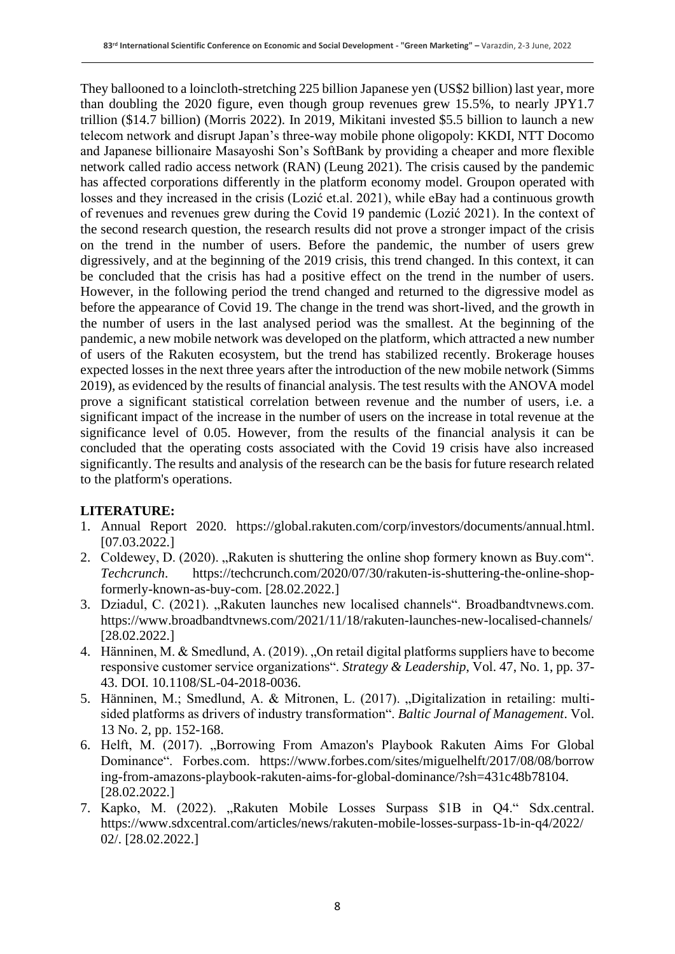They ballooned to a loincloth-stretching 225 billion Japanese yen (US\$2 billion) last year, more than doubling the 2020 figure, even though group revenues grew 15.5%, to nearly JPY1.7 trillion (\$14.7 billion) (Morris 2022). In 2019, Mikitani invested \$5.5 billion to launch a new telecom network and disrupt Japan's three-way mobile phone oligopoly: KKDI, NTT Docomo and Japanese billionaire Masayoshi Son's SoftBank by providing a cheaper and more flexible network called radio access network (RAN) (Leung 2021). The crisis caused by the pandemic has affected corporations differently in the platform economy model. Groupon operated with losses and they increased in the crisis (Lozić et.al. 2021), while eBay had a continuous growth of revenues and revenues grew during the Covid 19 pandemic (Lozić 2021). In the context of the second research question, the research results did not prove a stronger impact of the crisis on the trend in the number of users. Before the pandemic, the number of users grew digressively, and at the beginning of the 2019 crisis, this trend changed. In this context, it can be concluded that the crisis has had a positive effect on the trend in the number of users. However, in the following period the trend changed and returned to the digressive model as before the appearance of Covid 19. The change in the trend was short-lived, and the growth in the number of users in the last analysed period was the smallest. At the beginning of the pandemic, a new mobile network was developed on the platform, which attracted a new number of users of the Rakuten ecosystem, but the trend has stabilized recently. Brokerage houses expected losses in the next three years after the introduction of the new mobile network (Simms 2019), as evidenced by the results of financial analysis. The test results with the ANOVA model prove a significant statistical correlation between revenue and the number of users, i.e. a significant impact of the increase in the number of users on the increase in total revenue at the significance level of 0.05. However, from the results of the financial analysis it can be concluded that the operating costs associated with the Covid 19 crisis have also increased significantly. The results and analysis of the research can be the basis for future research related to the platform's operations.

#### **LITERATURE:**

- 1. Annual Report 2020. https://global.rakuten.com/corp/investors/documents/annual.html. [07.03.2022.]
- 2. Coldewey, D. (2020). "Rakuten is shuttering the online shop formery known as Buy.com". *Techcrunch*. https://techcrunch.com/2020/07/30/rakuten-is-shuttering-the-online-shopformerly-known-as-buy-com. [28.02.2022.]
- 3. Dziadul, C. (2021). "Rakuten launches new localised channels". Broadbandtvnews.com. https://www.broadbandtvnews.com/2021/11/18/rakuten-launches-new-localised-channels/ [28.02.2022.]
- 4. Hänninen, M. & Smedlund, A. (2019). "On retail digital platforms suppliers have to become responsive customer service organizations". *Strategy & Leadership*, Vol. 47, No. 1, pp. 37- 43. DOI. 10.1108/SL-04-2018-0036.
- 5. Hänninen, M.; Smedlund, A. & Mitronen, L. (2017). "Digitalization in retailing: multisided platforms as drivers of industry transformation". *Baltic Journal of Management*. Vol. 13 No. 2, pp. 152-168.
- 6. Helft, M. (2017). "Borrowing From Amazon's Playbook Rakuten Aims For Global Dominance". Forbes.com. https://www.forbes.com/sites/miguelhelft/2017/08/08/borrow ing-from-amazons-playbook-rakuten-aims-for-global-dominance/?sh=431c48b78104. [28.02.2022.]
- 7. Kapko, M. (2022). "Rakuten Mobile Losses Surpass \$1B in Q4." Sdx.central. https://www.sdxcentral.com/articles/news/rakuten-mobile-losses-surpass-1b-in-q4/2022/ 02/. [28.02.2022.]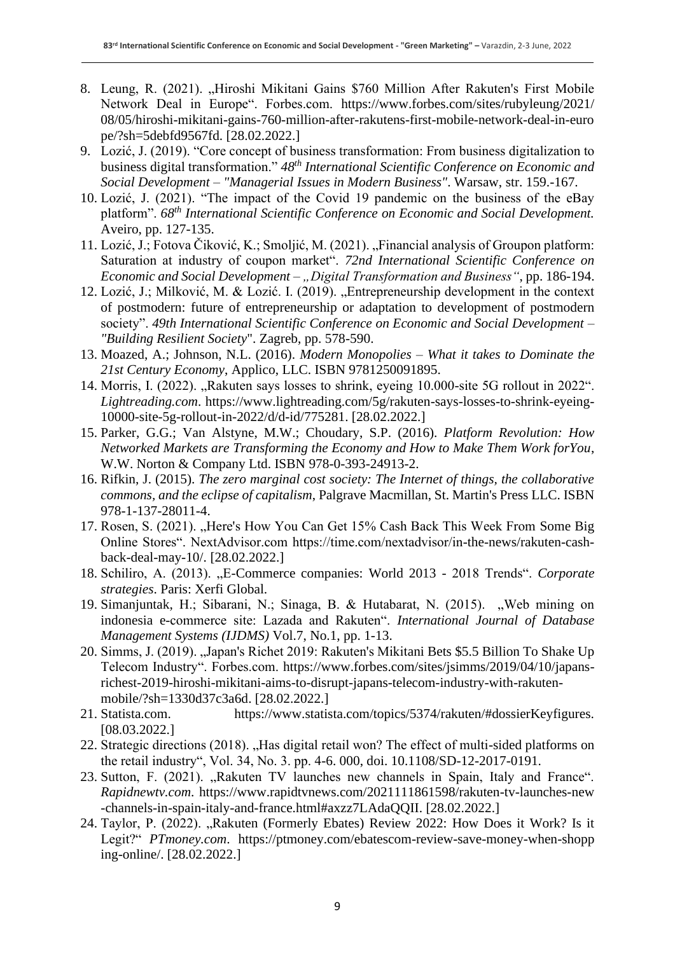- 8. Leung, R. (2021). "Hiroshi Mikitani Gains \$760 Million After Rakuten's First Mobile Network Deal in Europe". Forbes.com. https://www.forbes.com/sites/rubyleung/2021/ 08/05/hiroshi-mikitani-gains-760-million-after-rakutens-first-mobile-network-deal-in-euro pe/?sh=5debfd9567fd. [28.02.2022.]
- 9. Lozić, J. (2019). "Core concept of business transformation: From business digitalization to business digital transformation." *48th International Scientific Conference on Economic and Social Development – "Managerial Issues in Modern Business"*. Warsaw, str. 159.-167.
- 10. Lozić, J. (2021). "The impact of the Covid 19 pandemic on the business of the eBay platform". *68 th International Scientific Conference on Economic and Social Development.* Aveiro, pp. 127-135.
- 11. Lozić, J.; Fotova Čiković, K.; Smoljić, M. (2021). "Financial analysis of Groupon platform: Saturation at industry of coupon market". *72nd International Scientific Conference on Economic and Social Development – "Digital Transformation and Business", pp. 186-194.*
- 12. Lozić, J.; Milković, M. & Lozić. I. (2019). "Entrepreneurship development in the context of postmodern: future of entrepreneurship or adaptation to development of postmodern society". *49th International Scientific Conference on Economic and Social Development – "Building Resilient Society*". Zagreb, pp. 578-590.
- 13. Moazed, A.; Johnson, N.L. (2016). *Modern Monopolies – What it takes to Dominate the 21st Century Economy*, Applico, LLC. ISBN 9781250091895.
- 14. Morris, I. (2022). "Rakuten says losses to shrink, eyeing 10.000-site 5G rollout in 2022". *Lightreading.com*. https://www.lightreading.com/5g/rakuten-says-losses-to-shrink-eyeing-10000-site-5g-rollout-in-2022/d/d-id/775281. [28.02.2022.]
- 15. Parker, G.G.; Van Alstyne, M.W.; Choudary, S.P. (2016). *Platform Revolution: How Networked Markets are Transforming the Economy and How to Make Them Work forYou*, W.W. Norton & Company Ltd. ISBN 978-0-393-24913-2.
- 16. Rifkin, J. (2015). *The zero marginal cost society: The Internet of things, the collaborative commons, and the eclipse of capitalism*, Palgrave Macmillan, St. Martin's Press LLC. ISBN 978-1-137-28011-4.
- 17. Rosen, S. (2021). "Here's How You Can Get 15% Cash Back This Week From Some Big Online Stores". NextAdvisor.com https://time.com/nextadvisor/in-the-news/rakuten-cashback-deal-may-10/. [28.02.2022.]
- 18. Schiliro, A. (2013). "E-Commerce companies: World 2013 2018 Trends". *Corporate strategies*. Paris: Xerfi Global.
- 19. Simanjuntak, H.; Sibarani, N.; Sinaga, B. & Hutabarat, N. (2015). "Web mining on indonesia e-commerce site: Lazada and Rakuten". *International Journal of Database Management Systems (IJDMS)* Vol.7, No.1, pp. 1-13.
- 20. Simms, J. (2019). "Japan's Richet 2019: Rakuten's Mikitani Bets \$5.5 Billion To Shake Up Telecom Industry". Forbes.com. https://www.forbes.com/sites/jsimms/2019/04/10/japansrichest-2019-hiroshi-mikitani-aims-to-disrupt-japans-telecom-industry-with-rakutenmobile/?sh=1330d37c3a6d. [28.02.2022.]
- 21. Statista.com. https://www.statista.com/topics/5374/rakuten/#dossierKeyfigures. [08.03.2022.]
- 22. Strategic directions (2018). "Has digital retail won? The effect of multi-sided platforms on the retail industry", Vol. 34, No. 3. pp. 4-6. 000, doi. 10.1108/SD-12-2017-0191.
- 23. Sutton, F. (2021). "Rakuten TV launches new channels in Spain, Italy and France". *Rapidnewtv.com*. https://www.rapidtvnews.com/2021111861598/rakuten-tv-launches-new -channels-in-spain-italy-and-france.html#axzz7LAdaQQII. [28.02.2022.]
- 24. Taylor, P. (2022). "Rakuten (Formerly Ebates) Review 2022: How Does it Work? Is it Legit?" *PTmoney.com*. https://ptmoney.com/ebatescom-review-save-money-when-shopp ing-online/. [28.02.2022.]